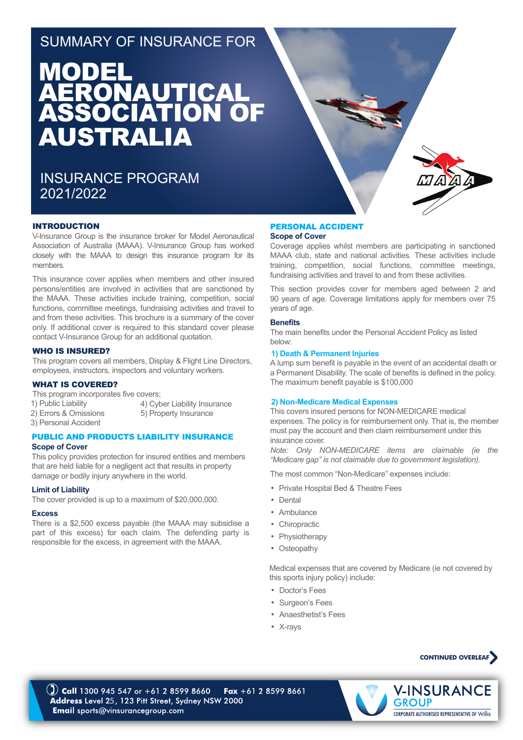## SUMMARY OF INSURANCE FOR

# **MODEL** AERONAUTICAL ASSOCIATION OF AUSTRALIA

INSURANCE PROGRAM 2021/2022



#### **INTRODUCTION**

V-Insurance Group is the insurance broker for Model Aeronautical Association of Australia (MAAA). V-Insurance Group has worked closely with the MAAA to design this insurance program for its members.

This insurance cover applies when members and other insured persons/entities are involved in activities that are sanctioned by the MAAA. These activities include training, competition, social functions, committee meetings, fundraising activities and travel to and from these activities. This brochure is a summary of the cover only. If additional cover is required to this standard cover please contact V-Insurance Group for an additional quotation.

#### WHO IS INSURED?

This program covers all members, Display & Flight Line Directors, employees, instructors, inspectors and voluntary workers.

#### WHAT IS COVERED?

This program incorporates five covers;

1) Public Liability 2) Errors & Omissions

3) Personal Accident

- 4) Cyber Liability Insurance
- 5) Property Insurance

#### PUBLIC AND PRODUCTS LIABILITY INSURANCE **Scope of Cover**

This policy provides protection for insured entities and members that are held liable for a negligent act that results in property damage or bodily injury anywhere in the world.

#### **Limit of Liability**

The cover provided is up to a maximum of \$20,000,000.

#### **Excess**

There is a \$2,500 excess payable (the MAAA may subsidise a part of this excess) for each claim. The defending party is responsible for the excess, in agreement with the MAAA.

#### PERSONAL ACCIDENT **Scope of Cover**

Coverage applies whilst members are participating in sanctioned MAAA club, state and national activities. These activities include training, competition, social functions, committee meetings, fundraising activities and travel to and from these activities.

This section provides cover for members aged between 2 and 90 years of age. Coverage limitations apply for members over 75 years of age.

#### **Benefits**

The main benefits under the Personal Accident Policy as listed below:

#### **1) Death & Permanent Injuries**

A lump sum benefit is payable in the event of an accidental death or a Permanent Disability. The scale of benefits is defined in the policy. The maximum benefit payable is \$100,000

#### **2) Non-Medicare Medical Expenses**

This covers insured persons for NON-MEDICARE medical expenses. The policy is for reimbursement only. That is, the member must pay the account and then claim reimbursement under this insurance cover.

*Note: Only NON-MEDICARE items are claimable (ie the "Medicare gap" is not claimable due to government legislation).*

The most common "Non-Medicare" expenses include:

- Private Hospital Bed & Theatre Fees
- Dental
- Ambulance
- Chiropractic
- Physiotherapy
- Osteopathy

Medical expenses that are covered by Medicare (ie not covered by this sports injury policy) include:

- Doctor's Fees
- Surgeon's Fees
- Anaesthetist's Fees
- X-rays

#### **CONTINUED OVERLEAF**